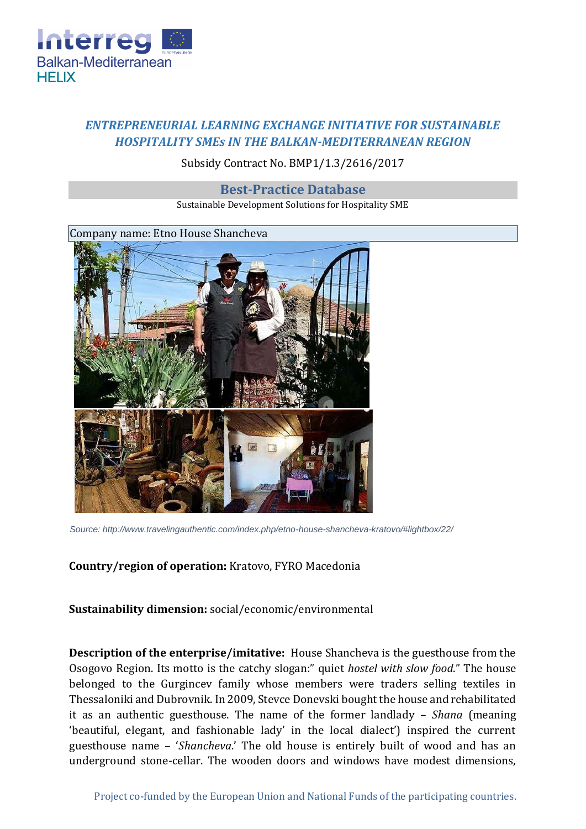

## *ENTREPRENEURIAL LEARNING EXCHANGE INITIATIVE FOR SUSTAINABLE HOSPITALITY SMEs IN THE BALKAN-MEDITERRANEAN REGION*

## Subsidy Contract No. BMP1/1.3/2616/2017

## **Best-Practice Database**

Sustainable Development Solutions for Hospitality SME



*Source: http://www.travelingauthentic.com/index.php/etno-house-shancheva-kratovo/#lightbox/22/*

**Country/region of operation:** Kratovo, FYRO Macedonia

**Sustainability dimension:** social/economic/environmental

**Description of the enterprise/imitative:** House Shancheva is the guesthouse from the Osogovo Region. Its motto is the catchy slogan:" quiet *hostel with slow food*." The house belonged to the Gurgincev family whose members were traders selling textiles in Thessaloniki and Dubrovnik. In 2009, Stevce Donevski bought the house and rehabilitated it as an authentic guesthouse. The name of the former landlady – *Shana* (meaning 'beautiful, elegant, and fashionable lady' in the local dialect') inspired the current guesthouse name – '*Shancheva*.' The old house is entirely built of wood and has an underground stone-cellar. The wooden doors and windows have modest dimensions,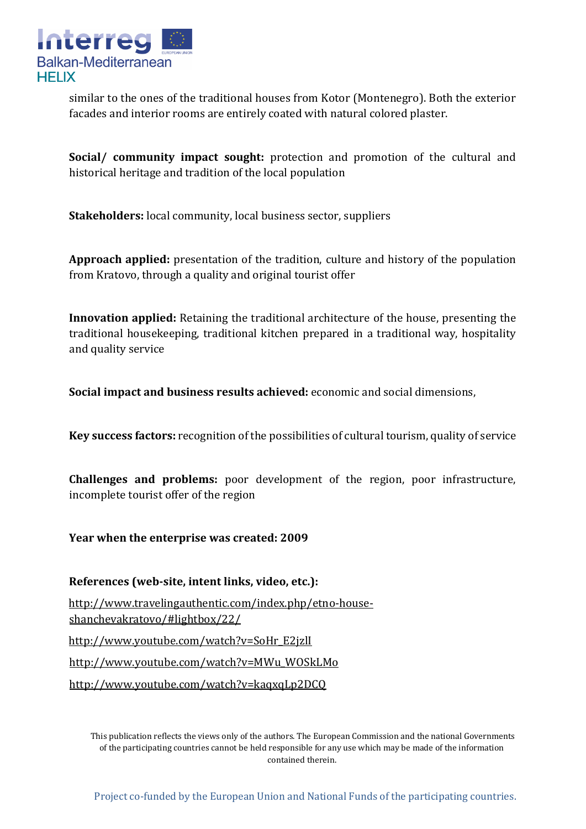

similar to the ones of the traditional houses from Kotor (Montenegro). Both the exterior facades and interior rooms are entirely coated with natural colored plaster.

**Social/ community impact sought:** protection and promotion of the cultural and historical heritage and tradition of the local population

**Stakeholders:** local community, local business sector, suppliers

**Approach applied:** presentation of the tradition, culture and history of the population from Kratovo, through a quality and original tourist offer

**Innovation applied:** Retaining the traditional architecture of the house, presenting the traditional housekeeping, traditional kitchen prepared in a traditional way, hospitality and quality service

**Social impact and business results achieved:** economic and social dimensions,

**Key success factors:** recognition of the possibilities of cultural tourism, quality of service

**Challenges and problems:** poor development of the region, poor infrastructure, incomplete tourist offer of the region

**Year when the enterprise was created: 2009** 

**References (web-site, intent links, video, etc.):** 

[http://www.travelingauthentic.com/index.php/etno-house](http://www.travelingauthentic.com/index.php/etno-house-shancheva-kratovo/#lightbox/22/)[shanchevakratovo/#lightbox/22/](http://www.travelingauthentic.com/index.php/etno-house-shancheva-kratovo/#lightbox/22/)

[http://www.youtube.com/watch?v=SoHr\\_E2jzlI](http://www.youtube.com/watch?v=SoHr_E2jzlI)

[http://www.youtube.com/watch?v=MWu\\_WOSkLMo](http://www.youtube.com/watch?v=MWu_WOSkLMo)

<http://www.youtube.com/watch?v=kaqxqLp2DCQ>

This publication reflects the views only of the authors. The European Commission and the national Governments of the participating countries cannot be held responsible for any use which may be made of the information contained therein.